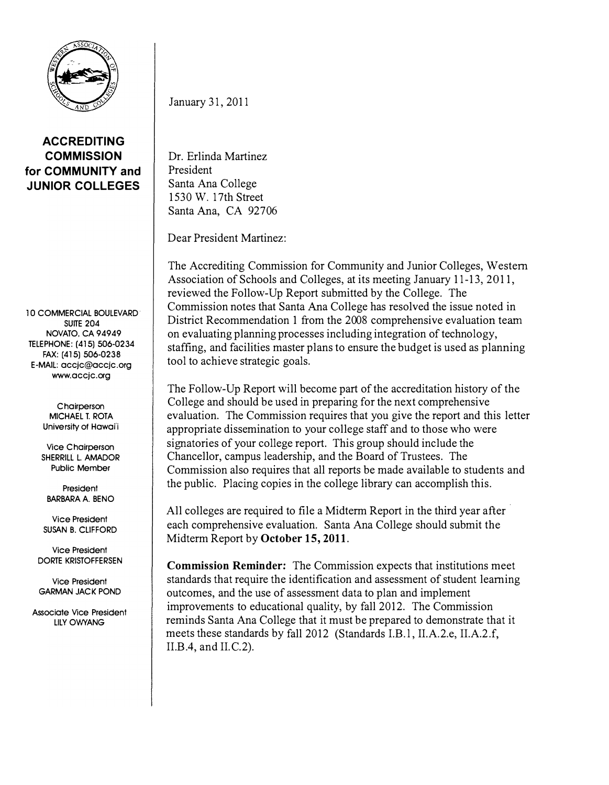

ACCREDITING **COMMISSION** for COMMUNITY and JUNIOR COLLEGES

10 COMMERCIAL BOULEVARD· SUITE 204 NOVATO, CA 94949 TELEPHONE: (415) 506-0234 FAX: (415) 506-0238 E-MAIL: accjc@accjc.org www.accjc.org

> **Chairperson** MICHAEL T. ROTA University of Hawai'i

Vice Chairperson SHERRILL L. AMADOR Public Member

President BARBARA A. BENO

Vice President SUSAN B. CLIFFORD

Vice President DORTE KRISTOFFERSEN

Vice President GARMAN JACK POND

Associate Vice President LILYOWYANG

January 31, 2011

Dr. Erlinda Martinez President Santa Ana College 1530 W. 17th Street Santa Ana, CA 92706

Dear President Martinez:

The Accrediting Commission for Community and Junior Colleges, Western Association of Schools and Colleges, at its meeting January 11-13, 2011, reviewed the Follow-Up Report submitted by the College. The Commission notes that Santa Ana College has resolved the issue noted in District Recommendation 1 from the 2008 comprehensive evaluation team on evaluating planning processes including integration of technology, staffing, and facilities master plans to ensure the budget is used as planning tool to achieve strategic goals.

The Follow-Up Report will become part of the accreditation history of the College and should be used in preparing for the next comprehensive evaluation. The Commission requires that you give the report and this letter appropriate dissemination to your college staff and to those who were signatories of your college report. This group should include the Chancellor, campus leadership, and the Board of Trustees. The Commission also requires that all reports be made available to students and the public. Placing copies in the college library can accomplish this.

All colleges are required to file a Midterm Report in the third year after each comprehensive evaluation. Santa Ana College should submit the Midterm Report by October 15, 2011.

Commission Reminder: The Commission expects that institutions meet standards that require the identification and assessment of student learning outcomes, and the use of assessment data to plan and implement improvements to educational quality, by fall 2012. The Commission reminds Santa Ana College that it must be prepared to demonstrate that it meets these standards by fall 2012 (Standards I.B.1, II.A.2.e, II.A.2.f, II.B.4, and II.C.2).